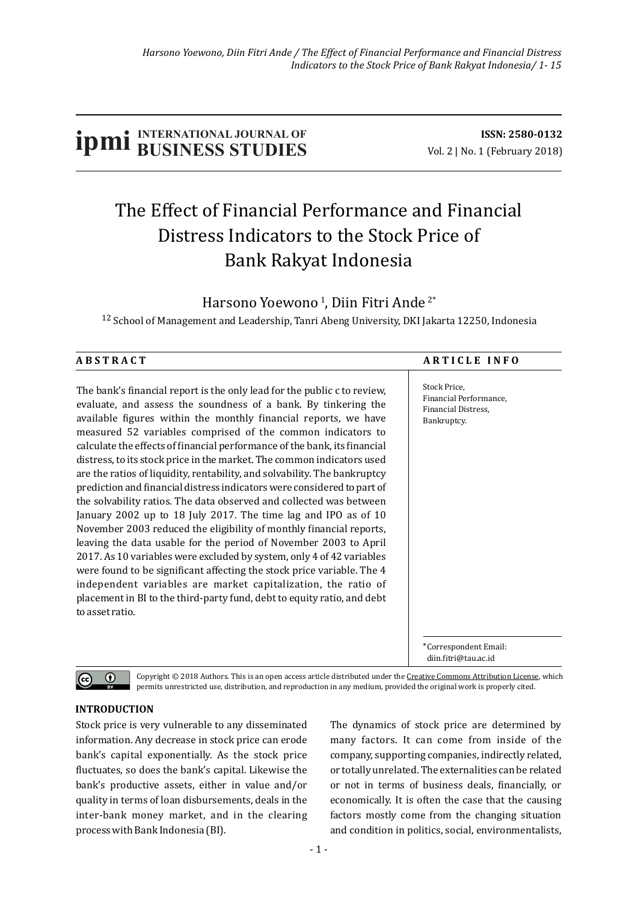# **IDMI** BUSINESS STUDIES **ISSN:** 2580-0132

# The Effect of Financial Performance and Financial Distress Indicators to the Stock Price of Bank Rakyat Indonesia

Harsono Yoewono<sup>1</sup>, Diin Fitri Ande<sup>2\*</sup>

 $12$  School of Management and Leadership, Tanri Abeng University, DKI Jakarta 12250, Indonesia

# The bank's financial report is the only lead for the public c to review, evaluate, and assess the soundness of a bank. By tinkering the available figures within the monthly financial reports, we have measured 52 variables comprised of the common indicators to calculate the effects of financial performance of the bank, its financial distress, to its stock price in the market. The common indicators used are the ratios of liquidity, rentability, and solvability. The bankruptcy prediction and financial distress indicators were considered to part of the solvability ratios. The data observed and collected was between January 2002 up to 18 July 2017. The time lag and IPO as of 10 November 2003 reduced the eligibility of monthly financial reports, leaving the data usable for the period of November 2003 to April 2017. As 10 variables were excluded by system, only 4 of 42 variables were found to be significant affecting the stock price variable. The 4 independent variables are market capitalization, the ratio of placement in BI to the third-party fund, debt to equity ratio, and debt to asset ratio. \*Correspondent Email: diin.fitri@tau.ac.id Stock Price. Financial Performance, Financial Distress. Bankruptcy. ABSTRACT ARRICLE INFO

 $\odot$  $\overline{cc}$ 

Copyright  $@$  2018 Authors. This is an open access article distributed under the Creative Commons Attribution License, which permits unrestricted use, distribution, and reproduction in any medium, provided the original work is properly cited.

# **INTRODUCTION**

Stock price is very vulnerable to any disseminated information. Any decrease in stock price can erode bank's capital exponentially. As the stock price fluctuates, so does the bank's capital. Likewise the bank's productive assets, either in value and/or quality in terms of loan disbursements, deals in the inter-bank money market, and in the clearing process with Bank Indonesia (BI).

The dynamics of stock price are determined by many factors. It can come from inside of the company, supporting companies, indirectly related, or totally unrelated. The externalities can be related or not in terms of business deals, financially, or economically. It is often the case that the causing factors mostly come from the changing situation and condition in politics, social, environmentalists,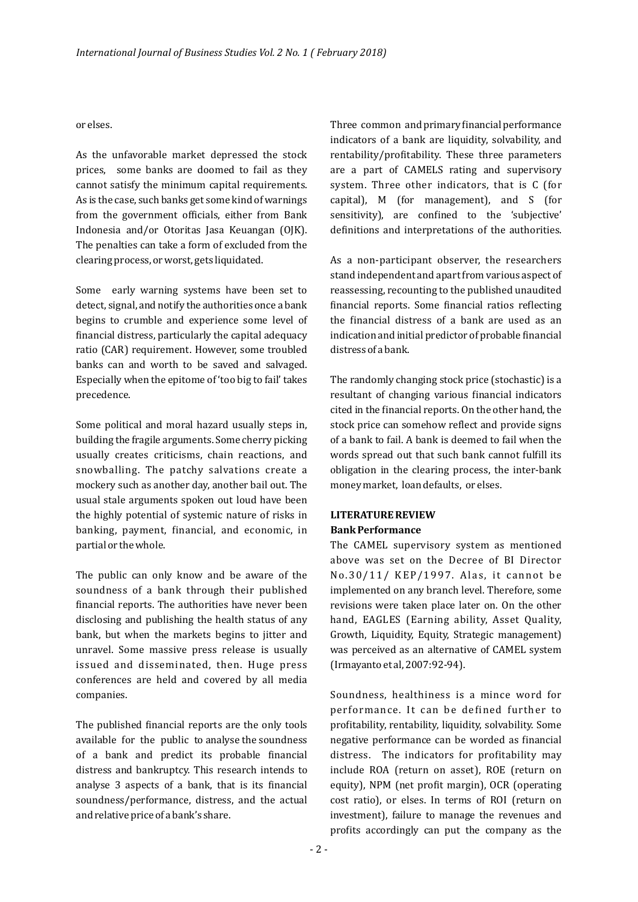#### or elses.

As the unfavorable market depressed the stock prices, some banks are doomed to fail as they cannot satisfy the minimum capital requirements. As is the case, such banks get some kind of warnings from the government officials, either from Bank Indonesia and/or Otoritas Jasa Keuangan (OJK). The penalties can take a form of excluded from the clearing process, or worst, gets liquidated.

Some early warning systems have been set to detect, signal, and notify the authorities once a bank begins to crumble and experience some level of financial distress, particularly the capital adequacy ratio (CAR) requirement. However, some troubled banks can and worth to be saved and salvaged. Especially when the epitome of 'too big to fail' takes precedence.

Some political and moral hazard usually steps in, building the fragile arguments. Some cherry picking usually creates criticisms, chain reactions, and snowballing. The patchy salvations create a mockery such as another day, another bail out. The usual stale arguments spoken out loud have been the highly potential of systemic nature of risks in banking, payment, financial, and economic, in partial or the whole.

The public can only know and be aware of the soundness of a bank through their published financial reports. The authorities have never been disclosing and publishing the health status of any bank, but when the markets begins to jitter and unravel. Some massive press release is usually issued and disseminated, then. Huge press conferences are held and covered by all media companies.

The published financial reports are the only tools available for the public to analyse the soundness of a bank and predict its probable financial distress and bankruptcy. This research intends to analyse 3 aspects of a bank, that is its financial soundness/performance, distress, and the actual and relative price of a bank's share.

Three common and primary financial performance indicators of a bank are liquidity, solvability, and rentability/profitability. These three parameters are a part of CAMELS rating and supervisory system. Three other indicators, that is C (for capital),  $M$  (for management), and  $S$  (for sensitivity), are confined to the 'subjective' definitions and interpretations of the authorities.

As a non-participant observer, the researchers stand independent and apart from various aspect of reassessing, recounting to the published unaudited financial reports. Some financial ratios reflecting the financial distress of a bank are used as an indication and initial predictor of probable financial distress of a bank.

The randomly changing stock price (stochastic) is a resultant of changing various financial indicators cited in the financial reports. On the other hand, the stock price can somehow reflect and provide signs of a bank to fail. A bank is deemed to fail when the words spread out that such bank cannot fulfill its obligation in the clearing process, the inter-bank money market, loan defaults, or elses.

# **LITERATURE REVIEW Bank Performance**

The CAMEL supervisory system as mentioned above was set on the Decree of BI Director No.30/11/ KEP/1997. Alas, it cannot be implemented on any branch level. Therefore, some revisions were taken place later on. On the other hand, EAGLES (Earning ability, Asset Quality, Growth, Liquidity, Equity, Strategic management) was perceived as an alternative of CAMEL system (Irmayanto et al, 2007:92-94).

Soundness, healthiness is a mince word for performance. It can be deined further to profitability, rentability, liquidity, solvability. Some negative performance can be worded as financial distress. The indicators for profitability may include ROA (return on asset), ROE (return on equity), NPM (net profit margin), OCR (operating cost ratio), or elses. In terms of ROI (return on investment), failure to manage the revenues and profits accordingly can put the company as the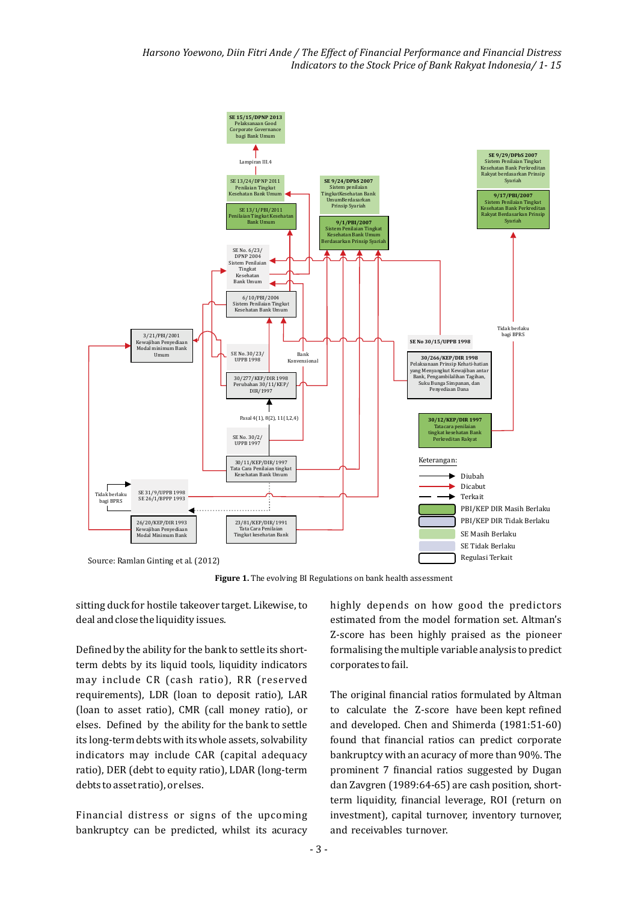Harsono Yoewono, Diin Fitri Ande / The Effect of Financial Performance and Financial Distress *Indicators to the Stock Price of Bank Rakyat Indonesia/* 1-15



Figure 1. The evolving BI Regulations on bank health assessment

sitting duck for hostile takeover target. Likewise, to deal and close the liquidity issues.

Defined by the ability for the bank to settle its shortterm debts by its liquid tools, liquidity indicators may include CR (cash ratio), RR (reserved requirements), LDR (loan to deposit ratio), LAR (loan to asset ratio), CMR (call money ratio), or elses. Defined by the ability for the bank to settle its long-term debts with its whole assets, solvability indicators may include CAR (capital adequacy ratio), DER (debt to equity ratio), LDAR (long-term debts to asset ratio), or elses.

Financial distress or signs of the upcoming bankruptcy can be predicted, whilst its acuracy

highly depends on how good the predictors estimated from the model formation set. Altman's Z-score has been highly praised as the pioneer formalising the multiple variable analysis to predict corporates to fail.

The original financial ratios formulated by Altman to calculate the Z-score have been kept refined and developed. Chen and Shimerda (1981:51-60) found that financial ratios can predict corporate bankruptcy with an acuracy of more than 90%. The prominent 7 financial ratios suggested by Dugan dan Zavgren (1989:64-65) are cash position, shortterm liquidity, financial leverage, ROI (return on investment), capital turnover, inventory turnover, and receivables turnover.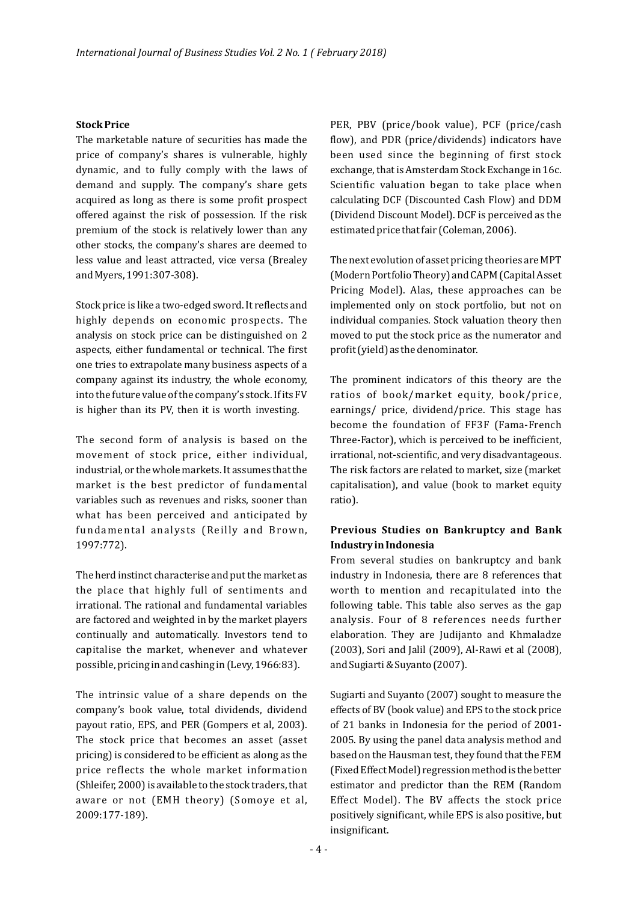#### **Stock Price**

The marketable nature of securities has made the price of company's shares is vulnerable, highly dynamic, and to fully comply with the laws of demand and supply. The company's share gets acquired as long as there is some profit prospect offered against the risk of possession. If the risk premium of the stock is relatively lower than any other stocks, the company's shares are deemed to less value and least attracted, vice versa (Brealey and Myers, 1991:307-308).

Stock price is like a two-edged sword. It reflects and highly depends on economic prospects. The analysis on stock price can be distinguished on 2 aspects, either fundamental or technical. The first one tries to extrapolate many business aspects of a company against its industry, the whole economy, into the future value of the company's stock. If its FV is higher than its PV, then it is worth investing.

The second form of analysis is based on the movement of stock price, either individual, industrial, or the whole markets. It assumes that the market is the best predictor of fundamental variables such as revenues and risks, sooner than what has been perceived and anticipated by fundamental analysts (Reilly and Brown, 1997:772).

The herd instinct characterise and put the market as the place that highly full of sentiments and irrational. The rational and fundamental variables are factored and weighted in by the market players continually and automatically. Investors tend to capitalise the market, whenever and whatever possible, pricing in and cashing in (Levy, 1966:83).

The intrinsic value of a share depends on the company's book value, total dividends, dividend payout ratio, EPS, and PER (Gompers et al, 2003). The stock price that becomes an asset (asset pricing) is considered to be efficient as along as the price relects the whole market information (Shleifer, 2000) is available to the stock traders, that aware or not (EMH theory) (Somoye et al, 2009:177-189).

PER, PBV (price/book value), PCF (price/cash flow), and PDR (price/dividends) indicators have been used since the beginning of irst stock exchange, that is Amsterdam Stock Exchange in 16c. Scientific valuation began to take place when calculating DCF (Discounted Cash Flow) and DDM (Dividend Discount Model). DCF is perceived as the estimated price that fair (Coleman, 2006).

The next evolution of asset pricing theories are MPT (Modern Portfolio Theory) and CAPM (Capital Asset Pricing Model). Alas, these approaches can be implemented only on stock portfolio, but not on individual companies. Stock valuation theory then moved to put the stock price as the numerator and profit (yield) as the denominator.

The prominent indicators of this theory are the ratios of book/market equity, book/price, earnings/ price, dividend/price. This stage has become the foundation of FF3F (Fama-French Three-Factor), which is perceived to be inefficient, irrational, not-scientific, and very disadvantageous. The risk factors are related to market, size (market capitalisation), and value (book to market equity ratio).

# **Previous Studies on Bankruptcy and Bank Industry** in Indonesia

From several studies on bankruptcy and bank industry in Indonesia, there are 8 references that worth to mention and recapitulated into the following table. This table also serves as the gap analysis. Four of 8 references needs further elaboration. They are Judijanto and Khmaladze (2003), Sori and Jalil (2009), Al-Rawi et al (2008), and Sugiarti & Suyanto (2007).

Sugiarti and Suyanto (2007) sought to measure the effects of BV (book value) and EPS to the stock price of 21 banks in Indonesia for the period of 2001-2005. By using the panel data analysis method and based on the Hausman test, they found that the FEM (Fixed Effect Model) regression method is the better estimator and predictor than the REM (Random Effect Model). The BV affects the stock price positively significant, while EPS is also positive, but insignificant.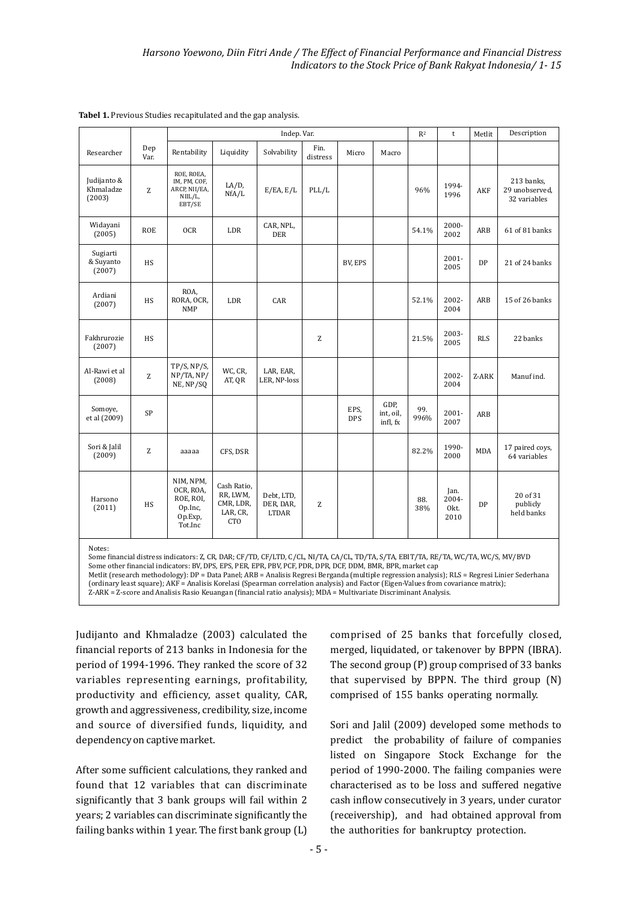|                                    |             | Indep. Var.                                                          |                                                                |                                         |                  |                    |                               | $R^2$       | $\mathsf t$                   | Metlit     | Description                                  |
|------------------------------------|-------------|----------------------------------------------------------------------|----------------------------------------------------------------|-----------------------------------------|------------------|--------------------|-------------------------------|-------------|-------------------------------|------------|----------------------------------------------|
| Researcher                         | Dep<br>Var. | Rentability                                                          | Liquidity                                                      | Solvability                             | Fin.<br>distress | Micro              | Macro                         |             |                               |            |                                              |
| Judijanto &<br>Khmaladze<br>(2003) | Z           | ROE, ROEA,<br>IM, PM, COF,<br>ARCP, NII/EA,<br>$NIIL/L$ ,<br>EBT/SE  | $LA/D$ ,<br>NfA/L                                              | E/EA, E/L                               | PLL/L            |                    |                               | 96%         | 1994-<br>1996                 | <b>AKF</b> | 213 banks,<br>29 unobserved,<br>32 variables |
| Widayani<br>(2005)                 | <b>ROE</b>  | <b>OCR</b>                                                           | LDR                                                            | CAR, NPL,<br><b>DER</b>                 |                  |                    |                               | 54.1%       | 2000-<br>2002                 | ARB        | 61 of 81 banks                               |
| Sugiarti<br>& Suyanto<br>(2007)    | <b>HS</b>   |                                                                      |                                                                |                                         |                  | BV, EPS            |                               |             | $2001 -$<br>2005              | DP         | 21 of 24 banks                               |
| Ardiani<br>(2007)                  | <b>HS</b>   | ROA,<br>RORA, OCR,<br><b>NMP</b>                                     | LDR                                                            | CAR                                     |                  |                    |                               | 52.1%       | 2002-<br>2004                 | ARB        | 15 of 26 banks                               |
| Fakhrurozie<br>(2007)              | <b>HS</b>   |                                                                      |                                                                |                                         | Z                |                    |                               | 21.5%       | 2003-<br>2005                 | <b>RLS</b> | 22 banks                                     |
| Al-Rawi et al<br>(2008)            | Ζ           | TP/S, NP/S,<br>NP/TA, NP/<br>NE, NP/SQ                               | WC, CR,<br>AT, QR                                              | LAR, EAR,<br>LER, NP-loss               |                  |                    |                               |             | 2002-<br>2004                 | Z-ARK      | Manuf ind.                                   |
| Somoye,<br>et al (2009)            | SP          |                                                                      |                                                                |                                         |                  | EPS,<br><b>DPS</b> | GDP,<br>int, oil,<br>infl, fx | 99.<br>996% | $2001 -$<br>2007              | ARB        |                                              |
| Sori & Jalil<br>(2009)             | Z           | aaaaa                                                                | CFS, DSR                                                       |                                         |                  |                    |                               | 82.2%       | 1990-<br>2000                 | <b>MDA</b> | 17 paired coys,<br>64 variables              |
| Harsono<br>(2011)                  | HS          | NIM, NPM,<br>OCR, ROA,<br>ROE, ROI,<br>Op.Inc,<br>Op.Exp,<br>Tot.Inc | Cash Ratio,<br>RR, LWM,<br>CMR, LDR,<br>LAR, CR,<br><b>CTO</b> | Debt, LTD,<br>DER, DAR,<br><b>LTDAR</b> | Z                |                    |                               | 88.<br>38%  | Jan.<br>2004-<br>Okt.<br>2010 | DP         | 20 of 31<br>publicly<br>held banks           |
| Notes:                             |             |                                                                      |                                                                |                                         |                  |                    |                               |             |                               |            |                                              |

**Tabel 1.** Previous Studies recapitulated and the gap analysis.

Some financial distress indicators: Z, CR, DAR; CF/TD, CF/LTD, C/CL, NI/TA, CA/CL, TD/TA, S/TA, EBIT/TA, RE/TA, WC/TA, WC/S, MV/BVD Some other financial indicators: BV, DPS, EPS, PER, EPR, PBV, PCF, PDR, DPR, DCF, DDM, BMR, BPR, market cap Metlit (research methodology): DP = Data Panel; ARB = Analisis Regresi Berganda (multiple regression analysis); RLS = Regresi Linier Sederhana

(ordinary least square);  $AKF =$  Analisis Korelasi (Spearman correlation analysis) and Factor (Eigen-Values from covariance matrix); Z-ARK = Z-score and Analisis Rasio Keuangan (financial ratio analysis); MDA = Multivariate Discriminant Analysis.

Judijanto and Khmaladze (2003) calculated the financial reports of 213 banks in Indonesia for the period of 1994-1996. They ranked the score of 32 variables representing earnings, profitability, productivity and eficiency, asset quality, CAR, growth and aggressiveness, credibility, size, income and source of diversified funds, liquidity, and dependency on captive market.

After some sufficient calculations, they ranked and found that 12 variables that can discriminate significantly that 3 bank groups will fail within 2 years; 2 variables can discriminate significantly the failing banks within 1 year. The first bank group  $(L)$  comprised of 25 banks that forcefully closed, merged, liquidated, or takenover by BPPN (IBRA). The second group  $(P)$  group comprised of 33 banks that supervised by BPPN. The third group (N) comprised of 155 banks operating normally.

Sori and Jalil (2009) developed some methods to predict the probability of failure of companies listed on Singapore Stock Exchange for the period of 1990-2000. The failing companies were characterised as to be loss and suffered negative cash inflow consecutively in 3 years, under curator (receivership), and had obtained approval from the authorities for bankruptcy protection.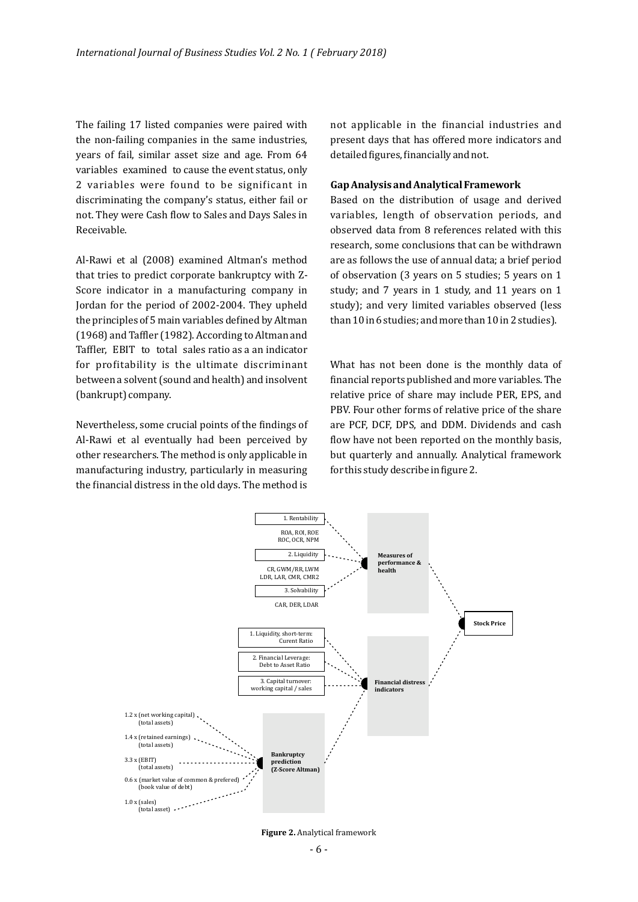The failing 17 listed companies were paired with the non-failing companies in the same industries, years of fail, similar asset size and age. From 64 variables examined to cause the event status, only 2 variables were found to be significant in discriminating the company's status, either fail or not. They were Cash flow to Sales and Days Sales in Receivable.

Al-Rawi et al (2008) examined Altman's method that tries to predict corporate bankruptcy with Z-Score indicator in a manufacturing company in Jordan for the period of 2002-2004. They upheld the principles of 5 main variables defined by Altman (1968) and Taffler (1982). According to Altman and Taffler, EBIT to total sales ratio as a an indicator for profitability is the ultimate discriminant between a solvent (sound and health) and insolvent (bankrupt) company.

Nevertheless, some crucial points of the findings of Al-Rawi et al eventually had been perceived by other researchers. The method is only applicable in manufacturing industry, particularly in measuring the financial distress in the old days. The method is not applicable in the inancial industries and present days that has offered more indicators and detailed figures, financially and not.

#### **Gap Analysis and Analytical Framework**

Based on the distribution of usage and derived variables, length of observation periods, and observed data from 8 references related with this research, some conclusions that can be withdrawn are as follows the use of annual data; a brief period of observation (3 years on 5 studies; 5 years on 1 study; and 7 years in 1 study, and 11 years on 1 study); and very limited variables observed (less than 10 in 6 studies; and more than 10 in 2 studies).

What has not been done is the monthly data of financial reports published and more variables. The relative price of share may include PER, EPS, and PBV. Four other forms of relative price of the share are PCF, DCF, DPS, and DDM. Dividends and cash flow have not been reported on the monthly basis, but quarterly and annually. Analytical framework for this study describe in figure 2.



**Figure 2.** Analytical framework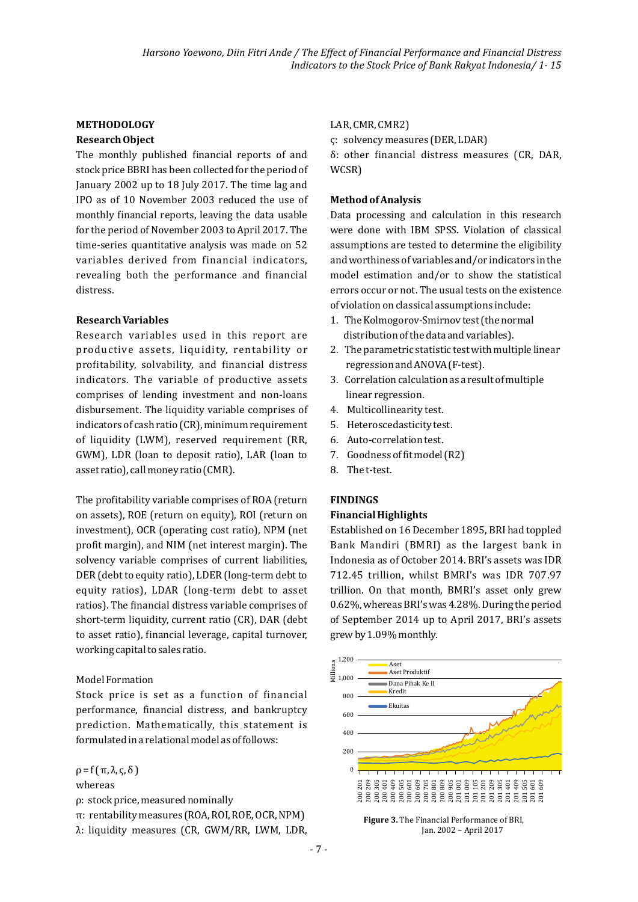#### **METHODOLOGY**

#### **Research Object**

The monthly published financial reports of and stock price BBRI has been collected for the period of January 2002 up to 18 July 2017. The time lag and IPO as of 10 November 2003 reduced the use of monthly financial reports, leaving the data usable for the period of November 2003 to April 2017. The time-series quantitative analysis was made on 52 variables derived from financial indicators, revealing both the performance and financial distress.

#### **Research Variables**

Research variables used in this report are productive assets, liquidity, rentability or profitability, solvability, and financial distress indicators. The variable of productive assets comprises of lending investment and non-loans disbursement. The liquidity variable comprises of indicators of cash ratio  $(CR)$ , minimum requirement of liquidity (LWM), reserved requirement (RR, GWM), LDR (loan to deposit ratio), LAR (loan to asset ratio), call money ratio (CMR).

The profitability variable comprises of ROA (return on assets), ROE (return on equity), ROI (return on investment), OCR (operating cost ratio), NPM (net profit margin), and NIM (net interest margin). The solvency variable comprises of current liabilities, DER (debt to equity ratio), LDER (long-term debt to equity ratios), LDAR (long-term debt to asset ratios). The financial distress variable comprises of short-term liquidity, current ratio (CR), DAR (debt to asset ratio), financial leverage, capital turnover, working capital to sales ratio.

#### Model Formation

Stock price is set as a function of inancial performance, inancial distress, and bankruptcy prediction. Mathematically, this statement is formulated in a relational model as of follows:

 $\rho = f(\pi, \lambda, \varsigma, \delta)$ 

whereas

ρ: stock price, measured nominally

- π: rentability measures (ROA, ROI, ROE, OCR, NPM)
- λ: liquidity measures (CR, GWM/RR, LWM, LDR,

#### LAR, CMR, CMR2)

ς: solvency measures (DER, LDAR)

δ: other inancial distress measures (CR, DAR, WCSR)

#### **Method of Analysis**

Data processing and calculation in this research were done with IBM SPSS. Violation of classical assumptions are tested to determine the eligibility and worthiness of variables and/or indicators in the model estimation and/or to show the statistical errors occur or not. The usual tests on the existence of violation on classical assumptions include:

- 1. The Kolmogorov-Smirnov test (the normal distribution of the data and variables).
- 2. The parametric statistic test with multiple linear regression and ANOVA (F-test).
- 3. Correlation calculation as a result of multiple linear regression.
- 4. Multicollinearity test.
- 5. Heteroscedasticity test.
- 6. Auto-correlation test.
- 7. Goodness of fit model (R2)
- 8. The t-test.

#### **FINDINGS**

# **Financial Highlights**

Established on 16 December 1895, BRI had toppled Bank Mandiri (BMRI) as the largest bank in Indonesia as of October 2014. BRI's assets was IDR 712.45 trillion, whilst BMRI's was IDR 707.97 trillion. On that month, BMRI's asset only grew 0.62%, whereas BRI's was 4.28%. During the period of September 2014 up to April 2017, BRI's assets grew by 1.09% monthly.



Jan. 2002 - April 2017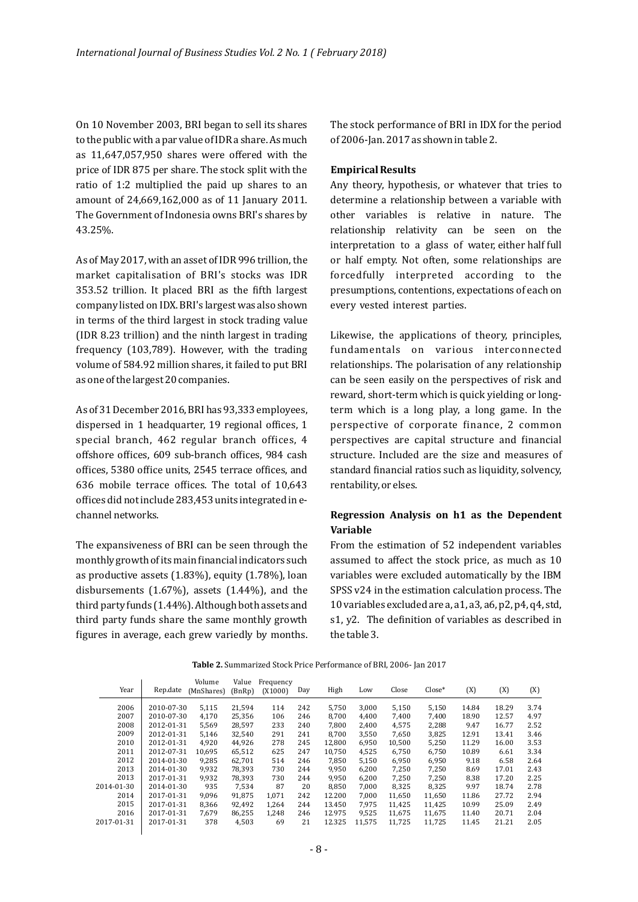On 10 November 2003, BRI began to sell its shares to the public with a par value of IDR a share. As much as  $11,647,057,950$  shares were offered with the price of IDR 875 per share. The stock split with the ratio of  $1:2$  multiplied the paid up shares to an amount of 24,669,162,000 as of 11 January 2011. The Government of Indonesia owns BRI's shares by 43.25%.

As of May 2017, with an asset of IDR 996 trillion, the market capitalisation of BRI's stocks was IDR 353.52 trillion. It placed BRI as the fifth largest company listed on IDX. BRI's largest was also shown in terms of the third largest in stock trading value (IDR 8.23 trillion) and the ninth largest in trading frequency (103,789). However, with the trading volume of 584.92 million shares, it failed to put BRI as one of the largest 20 companies.

As of 31 December 2016, BRI has 93,333 employees, dispersed in 1 headquarter, 19 regional offices, 1 special branch, 462 regular branch ofices, 4 offshore offices, 609 sub-branch offices, 984 cash offices, 5380 office units, 2545 terrace offices, and 636 mobile terrace ofices. The total of 10,643 offices did not include 283,453 units integrated in echannel networks.

The expansiveness of BRI can be seen through the monthly growth of its main financial indicators such as productive assets  $(1.83\%)$ , equity  $(1.78\%)$ , loan disbursements  $(1.67%)$ , assets  $(1.44%)$ , and the third party funds (1.44%). Although both assets and third party funds share the same monthly growth figures in average, each grew variedly by months. The stock performance of BRI in IDX for the period of 2006-Jan. 2017 as shown in table 2.

#### **Empirical Results**

Any theory, hypothesis, or whatever that tries to determine a relationship between a variable with other variables is relative in nature. The relationship relativity can be seen on the interpretation to a glass of water, either half full or half empty. Not often, some relationships are forcedfully interpreted according to the presumptions, contentions, expectations of each on every vested interest parties.

Likewise, the applications of theory, principles, fundamentals on various interconnected relationships. The polarisation of any relationship can be seen easily on the perspectives of risk and reward, short-term which is quick yielding or longterm which is a long play, a long game. In the perspective of corporate inance, 2 common perspectives are capital structure and inancial structure. Included are the size and measures of standard financial ratios such as liquidity, solvency, rentability, or elses.

# **Regression Analysis on h1 as the Dependent Variable**

From the estimation of 52 independent variables assumed to affect the stock price, as much as 10 variables were excluded automatically by the IBM SPSS v24 in the estimation calculation process. The 10 variables excluded are a, a1, a3, a6, p2, p4, q4, std, s1, y2. The definition of variables as described in the table 3.

| Year       | Rep.date   | Volume<br>(MnShares) | Value<br>(BnRp) | Frequency<br>(X1000) | Day | High   | Low    | Close  | $Close*$ | (X)   | (X)   | (X)  |
|------------|------------|----------------------|-----------------|----------------------|-----|--------|--------|--------|----------|-------|-------|------|
| 2006       | 2010-07-30 | 5,115                | 21,594          | 114                  | 242 | 5.750  | 3.000  | 5,150  | 5,150    | 14.84 | 18.29 | 3.74 |
| 2007       | 2010-07-30 | 4.170                | 25.356          | 106                  | 246 | 8.700  | 4.400  | 7.400  | 7.400    | 18.90 | 12.57 | 4.97 |
| 2008       | 2012-01-31 | 5,569                | 28,597          | 233                  | 240 | 7,800  | 2.400  | 4,575  | 2,288    | 9.47  | 16.77 | 2.52 |
| 2009       | 2012-01-31 | 5.146                | 32,540          | 291                  | 241 | 8.700  | 3.550  | 7,650  | 3,825    | 12.91 | 13.41 | 3.46 |
| 2010       | 2012-01-31 | 4,920                | 44,926          | 278                  | 245 | 12,800 | 6.950  | 10,500 | 5,250    | 11.29 | 16.00 | 3.53 |
| 2011       | 2012-07-31 | 10.695               | 65,512          | 625                  | 247 | 10.750 | 4.525  | 6.750  | 6.750    | 10.89 | 6.61  | 3.34 |
| 2012       | 2014-01-30 | 9.285                | 62.701          | 514                  | 246 | 7.850  | 5.150  | 6.950  | 6,950    | 9.18  | 6.58  | 2.64 |
| 2013       | 2014-01-30 | 9.932                | 78.393          | 730                  | 244 | 9.950  | 6.200  | 7.250  | 7.250    | 8.69  | 17.01 | 2.43 |
| 2013       | 2017-01-31 | 9,932                | 78,393          | 730                  | 244 | 9.950  | 6.200  | 7.250  | 7.250    | 8.38  | 17.20 | 2.25 |
| 2014-01-30 | 2014-01-30 | 935                  | 7.534           | 87                   | 20  | 8.850  | 7.000  | 8.325  | 8,325    | 9.97  | 18.74 | 2.78 |
| 2014       | 2017-01-31 | 9.096                | 91.875          | 1.071                | 242 | 12.200 | 7.000  | 11.650 | 11.650   | 11.86 | 27.72 | 2.94 |
| 2015       | 2017-01-31 | 8.366                | 92.492          | 1.264                | 244 | 13.450 | 7.975  | 11.425 | 11.425   | 10.99 | 25.09 | 2.49 |
| 2016       | 2017-01-31 | 7.679                | 86.255          | 1.248                | 246 | 12.975 | 9.525  | 11.675 | 11.675   | 11.40 | 20.71 | 2.04 |
| 2017-01-31 | 2017-01-31 | 378                  | 4,503           | 69                   | 21  | 12.325 | 11.575 | 11.725 | 11,725   | 11.45 | 21.21 | 2.05 |

**Table 2.** Summarized Stock Price Performance of BRI, 2006- Ian 2017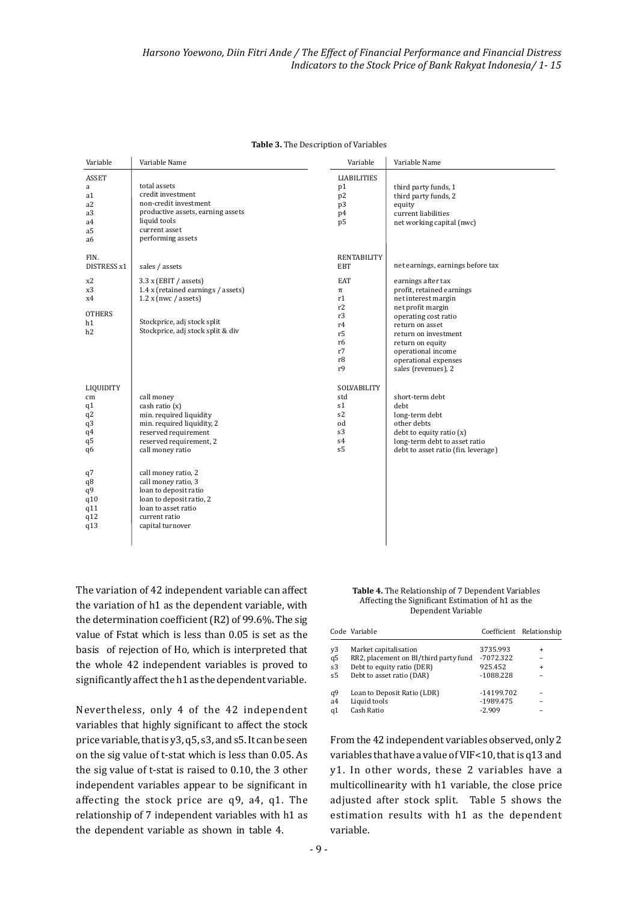| Variable                                                                                          | Variable Name                                                                                                                                                                                                                                                                                                               | Variable                                                                       | Variable Name                                                                                                                                                                                                                                           |
|---------------------------------------------------------------------------------------------------|-----------------------------------------------------------------------------------------------------------------------------------------------------------------------------------------------------------------------------------------------------------------------------------------------------------------------------|--------------------------------------------------------------------------------|---------------------------------------------------------------------------------------------------------------------------------------------------------------------------------------------------------------------------------------------------------|
| <b>ASSET</b><br>a<br>a1<br>a2<br>a3<br>a4<br>a <sub>5</sub><br>a6                                 | total assets<br>credit investment<br>non-credit investment<br>productive assets, earning assets<br>liquid tools<br>current asset<br>performing assets                                                                                                                                                                       | <b>LIABILITIES</b><br>p1<br>p2<br>p3<br>p4<br>p <sub>5</sub>                   | third party funds, 1<br>third party funds, 2<br>equity<br>current liabilities<br>net working capital (nwc)                                                                                                                                              |
| FIN.<br>DISTRESS x1                                                                               | sales / assets                                                                                                                                                                                                                                                                                                              | <b>RENTABILITY</b><br><b>EBT</b>                                               | net earnings, earnings before tax                                                                                                                                                                                                                       |
| x2<br>x3<br>x4<br><b>OTHERS</b><br>h1<br>h2                                                       | 3.3 x (EBIT / assets)<br>1.4 x (retained earnings / assets)<br>$1.2 x$ (nwc / assets)<br>Stockprice, adj stock split<br>Stockprice, adj stock split & div                                                                                                                                                                   | EAT<br>$\pi$<br>r1<br>r2<br>r3<br>r4<br>r <sub>5</sub><br>r6<br>r7<br>r8<br>r9 | earnings after tax<br>profit, retained earnings<br>net interest margin<br>net profit margin<br>operating cost ratio<br>return on asset<br>return on investment<br>return on equity<br>operational income<br>operational expenses<br>sales (revenues), 2 |
| LIQUIDITY<br>cm<br>q1<br>q2<br>q3<br>q4<br>q5<br>q6<br>q7<br>q8<br>q9<br>q10<br>q11<br>q12<br>q13 | call money<br>cash ratio (x)<br>min. required liquidity<br>min. required liquidity, 2<br>reserved requirement<br>reserved requirement, 2<br>call money ratio<br>call money ratio, 2<br>call money ratio, 3<br>loan to deposit ratio<br>loan to deposit ratio, 2<br>loan to asset ratio<br>current ratio<br>capital turnover | SOLVABILITY<br>std<br>s1<br>s2<br>od<br>s3<br>s4<br>s <sub>5</sub>             | short-term debt<br>debt<br>long-term debt<br>other debts<br>$debt$ to equity ratio $(x)$<br>long-term debt to asset ratio<br>debt to asset ratio (fin. leverage)                                                                                        |

The variation of 42 independent variable can affect the variation of h1 as the dependent variable, with the determination coefficient  $(R2)$  of 99.6%. The sig value of Fstat which is less than 0.05 is set as the basis of rejection of Ho, which is interpreted that the whole 42 independent variables is proved to significantly affect the h1 as the dependent variable.

Nevertheless, only 4 of the 42 independent variables that highly significant to affect the stock price variable, that is  $y3$ ,  $q5$ ,  $s3$ , and  $s5$ . It can be seen on the sig value of t-stat which is less than 0.05. As the sig value of t-stat is raised to  $0.10$ , the  $3$  other independent variables appear to be significant in affecting the stock price are q9, a4, q1. The relationship of 7 independent variables with h1 as the dependent variable as shown in table 4.

#### Table 4. The Relationship of 7 Dependent Variables Affecting the Significant Estimation of h1 as the Dependent Variable

|                | Code Variable                         |              | Coefficient Relationship |
|----------------|---------------------------------------|--------------|--------------------------|
| y3             | Market capitalisation                 | 3735.993     | +                        |
| q5             | RR2, placement on BI/third party fund | $-7072.322$  |                          |
| s <sub>3</sub> | Debt to equity ratio (DER)            | 925.452      | $\ddot{}$                |
| s5             | Debt to asset ratio (DAR)             | $-1088.228$  |                          |
|                |                                       |              |                          |
| q9             | Loan to Deposit Ratio (LDR)           | $-14199.702$ |                          |
| a <sub>4</sub> | Liquid tools                          | -1989.475    |                          |
| q1             | Cash Ratio                            | $-2.909$     |                          |

From the 42 independent variables observed, only 2 variables that have a value of VIF<10, that is q13 and y1. In other words, these 2 variables have a multicollinearity with h1 variable, the close price adjusted after stock split. Table 5 shows the estimation results with h1 as the dependent variable.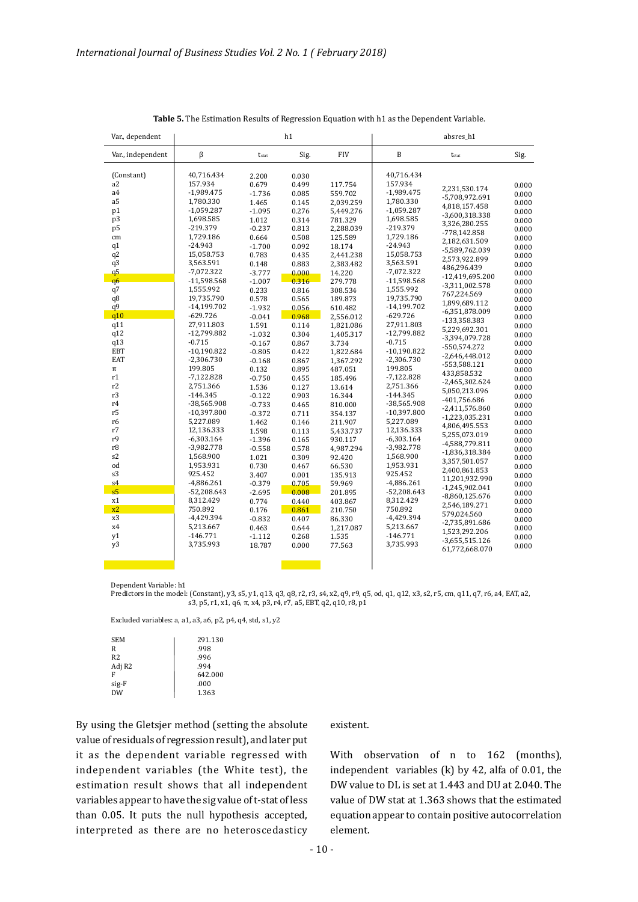| Var., dependent                                                                                                                                                                        |                                                                                                                                                                                                                                                                                                                                                               |                                                                                                                                                                                                                                                                          | h1                                                                                                                                                                                                                            |                                                                                                                                                                                                                                                                                  |                                                                                                                                                                                                                                                                                                                                                                 | absres_h1                                                                                                                                                                                                                                                                                                                                                                                                                                                 |                                                                                                                                                                                                                               |
|----------------------------------------------------------------------------------------------------------------------------------------------------------------------------------------|---------------------------------------------------------------------------------------------------------------------------------------------------------------------------------------------------------------------------------------------------------------------------------------------------------------------------------------------------------------|--------------------------------------------------------------------------------------------------------------------------------------------------------------------------------------------------------------------------------------------------------------------------|-------------------------------------------------------------------------------------------------------------------------------------------------------------------------------------------------------------------------------|----------------------------------------------------------------------------------------------------------------------------------------------------------------------------------------------------------------------------------------------------------------------------------|-----------------------------------------------------------------------------------------------------------------------------------------------------------------------------------------------------------------------------------------------------------------------------------------------------------------------------------------------------------------|-----------------------------------------------------------------------------------------------------------------------------------------------------------------------------------------------------------------------------------------------------------------------------------------------------------------------------------------------------------------------------------------------------------------------------------------------------------|-------------------------------------------------------------------------------------------------------------------------------------------------------------------------------------------------------------------------------|
| Var., independent                                                                                                                                                                      | β                                                                                                                                                                                                                                                                                                                                                             | t <sub>stat</sub>                                                                                                                                                                                                                                                        | Sig.                                                                                                                                                                                                                          | <b>FIV</b>                                                                                                                                                                                                                                                                       | B                                                                                                                                                                                                                                                                                                                                                               | tstat                                                                                                                                                                                                                                                                                                                                                                                                                                                     | Sig.                                                                                                                                                                                                                          |
| (Constant)<br>a2<br>a4<br>a <sub>5</sub><br>p1<br>p3<br>p <sub>5</sub><br>cm<br>q1<br>q2<br>q3<br>q <sub>5</sub><br>q <sub>6</sub><br>q7<br>q8<br>q <sub>9</sub><br>q10<br>q11         | 40,716.434<br>157.934<br>$-1,989.475$<br>1,780.330<br>$-1,059.287$<br>1,698.585<br>$-219.379$<br>1,729.186<br>$-24.943$<br>15,058.753<br>3.563.591<br>$-7.072.322$<br>$-11,598.568$<br>1,555.992<br>19,735.790<br>$-14,199.702$<br>$-629.726$<br>27,911.803                                                                                                   | 2.200<br>0.679<br>$-1.736$<br>1.465<br>$-1.095$<br>1.012<br>$-0.237$<br>0.664<br>$-1.700$<br>0.783<br>0.148<br>$-3.777$<br>$-1.007$<br>0.233<br>0.578<br>$-1.932$<br>$-0.041$<br>1.591                                                                                   | 0.030<br>0.499<br>0.085<br>0.145<br>0.276<br>0.314<br>0.813<br>0.508<br>0.092<br>0.435<br>0.883<br>$0.000 -$<br>0.316<br>0.816<br>0.565<br>0.056<br>0.968<br>0.114                                                            | 117.754<br>559.702<br>2,039.259<br>5,449.276<br>781.329<br>2,288.039<br>125.589<br>18.174<br>2,441.238<br>2,383.482<br>14.220<br>279.778<br>308.534<br>189.873<br>610.482<br>2,556.012<br>1,821.086                                                                              | 40,716.434<br>157.934<br>$-1,989.475$<br>1,780.330<br>$-1,059.287$<br>1,698.585<br>$-219.379$<br>1,729.186<br>$-24.943$<br>15,058.753<br>3.563.591<br>$-7.072.322$<br>$-11,598.568$<br>1,555.992<br>19,735.790<br>$-14,199.702$<br>$-629.726$<br>27,911.803                                                                                                     | 2,231,530.174<br>-5,708,972.691<br>4,818,157.458<br>-3,600,318.338<br>3,326,280.255<br>$-778,142.858$<br>2,182,631.509<br>-5,589,762.039<br>2,573,922.899<br>486,296.439<br>-12,419,695.200<br>$-3,311,002.578$<br>767,224.569<br>1,899,689.112<br>-6,351,878.009<br>-133,358.383<br>5,229,692.301                                                                                                                                                        | 0.000<br>0.000<br>0.000<br>0.000<br>0.000<br>0.000<br>0.000<br>0.000<br>0.000<br>0.000<br>0.000<br>0.000<br>0.000<br>0.000<br>0.000<br>0.000<br>0.000                                                                         |
| q12<br>q13<br>EBT<br>EAT<br>$\pi$<br>r1<br>r2<br>r3<br>r4<br>r5<br>r6<br>r7<br>r9<br>r8<br>s2<br>od<br>s3<br>s <sub>4</sub><br>s <sub>5</sub><br>$\ge 1$<br>x2<br>x3<br>x4<br>y1<br>y3 | -12,799.882<br>$-0.715$<br>$-10,190.822$<br>$-2,306.730$<br>199.805<br>$-7,122.828$<br>2,751.366<br>$-144.345$<br>-38,565.908<br>$-10,397.800$<br>5,227.089<br>12,136.333<br>$-6,303.164$<br>$-3,982.778$<br>1,568.900<br>1,953.931<br>925.452<br>$-4,886.261$<br>$-52,208.643$<br>8,312.429<br>750.892<br>-4,429.394<br>5,213.667<br>$-146.771$<br>3,735.993 | $-1.032$<br>$-0.167$<br>$-0.805$<br>$-0.168$<br>0.132<br>$-0.750$<br>1.536<br>$-0.122$<br>$-0.733$<br>$-0.372$<br>1.462<br>1.598<br>$-1.396$<br>$-0.558$<br>1.021<br>0.730<br>3.407<br>$-0.379$<br>$-2.695$<br>0.774<br>0.176<br>$-0.832$<br>0.463<br>$-1.112$<br>18.787 | 0.304<br>0.867<br>0.422<br>0.867<br>0.895<br>0.455<br>0.127<br>0.903<br>0.465<br>0.711<br>0.146<br>0.113<br>0.165<br>0.578<br>0.309<br>0.467<br>0.001<br>0.705<br>0.008<br>0.440<br>0.861<br>0.407<br>0.644<br>0.268<br>0.000 | 1,405.317<br>3.734<br>1,822.684<br>1,367.292<br>487.051<br>185.496<br>13.614<br>16.344<br>810.000<br>354.137<br>211.907<br>5,433.737<br>930.117<br>4,987.294<br>92.420<br>66.530<br>135.913<br>59.969<br>201.895<br>403.867<br>210.750<br>86.330<br>1,217.087<br>1.535<br>77.563 | $-12,799.882$<br>$-0.715$<br>$-10,190.822$<br>$-2,306.730$<br>199.805<br>$-7,122.828$<br>2,751.366<br>$-144.345$<br>-38,565.908<br>$-10,397.800$<br>5,227.089<br>12,136.333<br>$-6,303.164$<br>$-3,982.778$<br>1,568.900<br>1,953.931<br>925.452<br>$-4,886.261$<br>$-52,208.643$<br>8,312.429<br>750.892<br>-4,429.394<br>5,213.667<br>$-146.771$<br>3,735.993 | -3,394,079.728<br>-550,574.272<br>$-2,646,448.012$<br>-553,588.121<br>433,858.532<br>$-2,465,302.624$<br>5,050,213.096<br>-401,756.686<br>$-2,411,576.860$<br>$-1,223,035.231$<br>4,806,495.553<br>5,255,073.019<br>-4,588,779.811<br>-1,836,318.384<br>3,357,501.057<br>2,400,861.853<br>11,201,932.990<br>$-1,245,902.041$<br>$-8,860,125.676$<br>2,546,189.271<br>579,024.560<br>-2,735,891.686<br>1,523,292.206<br>$-3,655,515.126$<br>61,772,668.070 | 0.000<br>0.000<br>0.000<br>0.000<br>0.000<br>0.000<br>0.000<br>0.000<br>0.000<br>0.000<br>0.000<br>0.000<br>0.000<br>0.000<br>0.000<br>0.000<br>0.000<br>0.000<br>0.000<br>0.000<br>0.000<br>0.000<br>0.000<br>0.000<br>0.000 |

| Table 5. The Estimation Results of Regression Equation with h1 as the Dependent Variable. |  |  |
|-------------------------------------------------------------------------------------------|--|--|
|-------------------------------------------------------------------------------------------|--|--|

Dependent Variable: h1

Predictors in the model: (Constant), y3, s5, y1, q13, q3, q8, r2, r3, s4, x2, q9, r9, q5, od, q1, q12, x3, s2, r5, cm, q11, q7, r6, a4, EAT, a2, s3, p5, r1, x1, q6, π, x4, p3, r4, r7, a5, EBT, q2, q10, r8, p1

Excluded variables:  $a$ ,  $a1$ ,  $a3$ ,  $a6$ ,  $p2$ ,  $p4$ ,  $q4$ ,  $std$ ,  $s1$ ,  $y2$ 

| <b>SEM</b>     | 291.130 |
|----------------|---------|
| R              | .998    |
| R <sub>2</sub> | .996    |
| Adj R2         | .994    |
| F              | 642.000 |
| sig-F          | .000    |
| <b>DW</b>      | 1.363   |

By using the Gletsjer method (setting the absolute value of residuals of regression result), and later put it as the dependent variable regressed with independent variables (the White test), the estimation result shows that all independent variables appear to have the sig value of t-stat of less than 0.05. It puts the null hypothesis accepted, interpreted as there are no heteroscedasticy 

#### existent.

With observation of n to 162 (months), independent variables  $(k)$  by 42, alfa of 0.01, the DW value to DL is set at 1.443 and DU at 2.040. The value of DW stat at 1.363 shows that the estimated equation appear to contain positive autocorrelation element.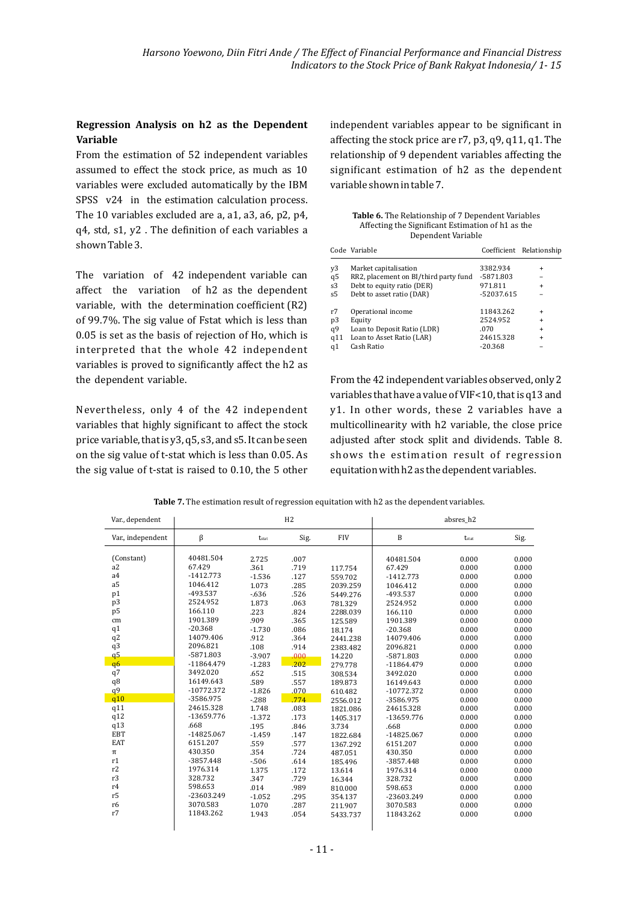# **Regression Analysis on h2 as the Dependent Variable**

From the estimation of 52 independent variables assumed to effect the stock price, as much as 10 variables were excluded automatically by the IBM SPSS  $v24$  in the estimation calculation process. The 10 variables excluded are a, a1, a3, a6, p2, p4, q4, std, s1, y2. The definition of each variables a shown Table 3.

The variation of 42 independent variable can affect the variation of h2 as the dependent variable, with the determination coefficient  $(R2)$ of 99.7%. The sig value of Fstat which is less than 0.05 is set as the basis of rejection of Ho, which is interpreted that the whole 42 independent variables is proved to significantly affect the h2 as the dependent variable.

Nevertheless, only 4 of the 42 independent variables that highly significant to affect the stock price variable, that is  $y3$ ,  $q5$ ,  $s3$ , and  $s5$ . It can be seen on the sig value of t-stat which is less than 0.05. As the sig value of t-stat is raised to  $0.10$ , the 5 other independent variables appear to be significant in affecting the stock price are  $r7$ ,  $p3$ ,  $q9$ ,  $q11$ ,  $q1$ . The relationship of 9 dependent variables affecting the significant estimation of h2 as the dependent variable shown in table 7.

Table 6. The Relationship of 7 Dependent Variables Affecting the Significant Estimation of h1 as the Dependent Variable

|                | Code Variable                         |            | Coefficient Relationship |
|----------------|---------------------------------------|------------|--------------------------|
| v <sub>3</sub> | Market capitalisation                 | 3382.934   | $\ddot{}$                |
| q5             | RR2, placement on BI/third party fund | -5871.803  |                          |
| s3             | Debt to equity ratio (DER)            | 971.811    | $\ddot{}$                |
| s5             | Debt to asset ratio (DAR)             | -52037.615 |                          |
| r7             | Operational income                    | 11843.262  | $\ddot{}$                |
| p <sub>3</sub> | Equity                                | 2524.952   | $\ddot{}$                |
| q9             | Loan to Deposit Ratio (LDR)           | .070       | $\ddot{}$                |
| q11            | Loan to Asset Ratio (LAR)             | 24615.328  | $\ddot{}$                |
| q1             | Cash Ratio                            | $-20.368$  |                          |

From the 42 independent variables observed, only 2 variables that have a value of VIF<10, that is q13 and y1. In other words, these 2 variables have a multicollinearity with h2 variable, the close price adjusted after stock split and dividends. Table 8. shows the estimation result of regression equitation with h2 as the dependent variables.

| Var., dependent   |              |                   | H2   |            |              | absres h2         |       |
|-------------------|--------------|-------------------|------|------------|--------------|-------------------|-------|
| Var., independent | β            | t <sub>stat</sub> | Sig. | <b>FIV</b> | B            | t <sub>stat</sub> | Sig.  |
| (Constant)        | 40481.504    | 2.725             | .007 |            | 40481.504    | 0.000             | 0.000 |
| a2                | 67.429       | .361              | .719 | 117.754    | 67.429       | 0.000             | 0.000 |
| a <sub>4</sub>    | $-1412.773$  | $-1.536$          | .127 | 559.702    | $-1412.773$  | 0.000             | 0.000 |
| a5                | 1046.412     | 1.073             | .285 | 2039.259   | 1046.412     | 0.000             | 0.000 |
| p1                | $-493.537$   | $-636$            | .526 | 5449.276   | $-493.537$   | 0.000             | 0.000 |
| p3                | 2524.952     | 1.873             | .063 | 781.329    | 2524.952     | 0.000             | 0.000 |
| p <sub>5</sub>    | 166.110      | .223              | .824 | 2288.039   | 166.110      | 0.000             | 0.000 |
| cm                | 1901.389     | .909              | .365 | 125.589    | 1901.389     | 0.000             | 0.000 |
| q1                | $-20.368$    | $-1.730$          | .086 | 18.174     | $-20.368$    | 0.000             | 0.000 |
| q2                | 14079.406    | .912              | .364 | 2441.238   | 14079.406    | 0.000             | 0.000 |
| q3                | 2096.821     | .108              | .914 | 2383.482   | 2096.821     | 0.000             | 0.000 |
| q <sub>5</sub>    | $-5871.803$  | $-3.907$          | .000 | 14.220     | $-5871.803$  | 0.000             | 0.000 |
| q <sub>6</sub>    | -11864.479   | $-1.283$          | .202 | 279.778    | -11864.479   | 0.000             | 0.000 |
| q7                | 3492.020     | .652              | .515 | 308.534    | 3492.020     | 0.000             | 0.000 |
| q8                | 16149.643    | .589              | .557 | 189.873    | 16149.643    | 0.000             | 0.000 |
| q9                | $-10772.372$ | $-1.826$          | .070 | 610.482    | $-10772.372$ | 0.000             | 0.000 |
| q10               | -3586.975    | $-288$            | .774 | 2556.012   | -3586.975    | 0.000             | 0.000 |
| q11               | 24615.328    | 1.748             | .083 | 1821.086   | 24615.328    | 0.000             | 0.000 |
| q12               | -13659.776   | $-1.372$          | .173 | 1405.317   | -13659.776   | 0.000             | 0.000 |
| q13               | .668         | .195              | .846 | 3.734      | .668         | 0.000             | 0.000 |
| <b>EBT</b>        | $-14825.067$ | $-1.459$          | .147 | 1822.684   | $-14825.067$ | 0.000             | 0.000 |
| EAT               | 6151.207     | .559              | .577 | 1367.292   | 6151.207     | 0.000             | 0.000 |
| $\pi$             | 430.350      | .354              | .724 | 487.051    | 430.350      | 0.000             | 0.000 |
| r1                | $-3857.448$  | $-506$            | .614 | 185.496    | $-3857.448$  | 0.000             | 0.000 |
| r2                | 1976.314     | 1.375             | .172 | 13.614     | 1976.314     | 0.000             | 0.000 |
| r3                | 328.732      | .347              | .729 | 16.344     | 328.732      | 0.000             | 0.000 |
| r4                | 598.653      | .014              | .989 | 810.000    | 598.653      | 0.000             | 0.000 |
| r <sub>5</sub>    | -23603.249   | $-1.052$          | .295 | 354.137    | -23603.249   | 0.000             | 0.000 |
| r6                | 3070.583     | 1.070             | .287 | 211.907    | 3070.583     | 0.000             | 0.000 |
| r7                | 11843.262    | 1.943             | .054 | 5433.737   | 11843.262    | 0.000             | 0.000 |
|                   |              |                   |      |            |              |                   |       |

**Table 7.** The estimation result of regression equitation with h2 as the dependent variables.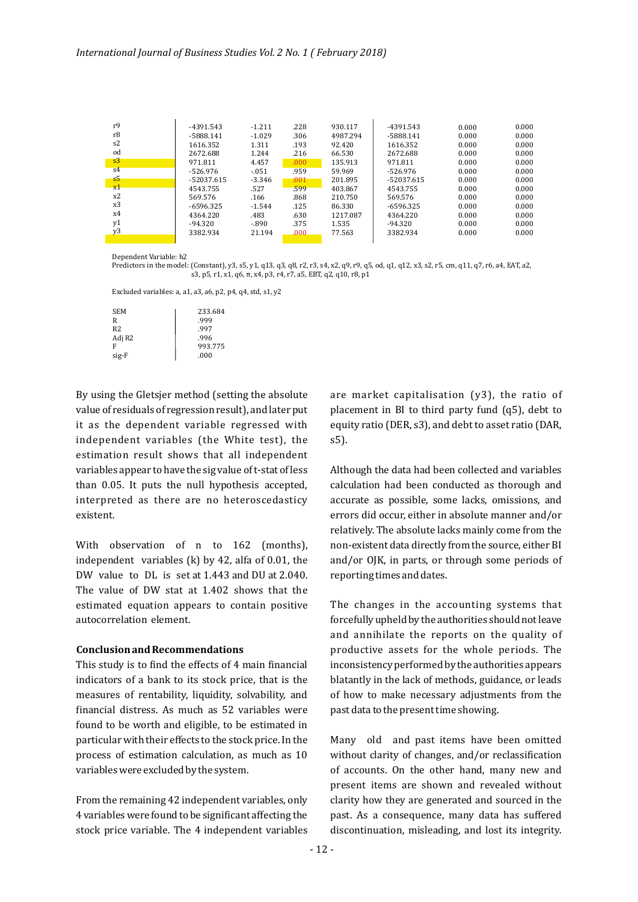| r9             | $-4391.543$  | $-1.211$ | .228  | 930.117  | $-4391.543$  | 0.000 | 0.000 |
|----------------|--------------|----------|-------|----------|--------------|-------|-------|
| r8             | -5888.141    | $-1.029$ | .306  | 4987.294 | -5888.141    | 0.000 | 0.000 |
| s2             | 1616.352     | 1.311    | .193  | 92.420   | 1616.352     | 0.000 | 0.000 |
| od             | 2672.688     | 1.244    | .216  | 66.530   | 2672.688     | 0.000 | 0.000 |
| s3             | 971.811      | 4.457    | .000. | 135.913  | 971.811      | 0.000 | 0.000 |
| s <sub>4</sub> | $-526.976$   | $-.051$  | .959  | 59.969   | $-526.976$   | 0.000 | 0.000 |
| s <sub>5</sub> | $-52037.615$ | $-3.346$ | .001  | 201.895  | $-52037.615$ | 0.000 | 0.000 |
| x1             | 4543.755     | .527     | .599  | 403.867  | 4543.755     | 0.000 | 0.000 |
| x2             | 569.576      | .166     | .868  | 210.750  | 569.576      | 0.000 | 0.000 |
| x3             | $-6596.325$  | $-1.544$ | .125  | 86.330   | $-6596.325$  | 0.000 | 0.000 |
| x4             | 4364.220     | .483     | .630  | 1217.087 | 4364.220     | 0.000 | 0.000 |
| y1             | $-94.320$    | $-.890$  | .375  | 1.535    | $-94.320$    | 0.000 | 0.000 |
| y3             | 3382.934     | 21.194   | .000. | 77.563   | 3382.934     | 0.000 | 0.000 |
|                |              |          |       |          |              |       |       |

Dependent Variable: h2

Predictors in the model: (Constant), y3, s5, y1, q13, q3, q8, r2, r3, s4, x2, q9, r9, q5, od, q1, q12, x3, s2, r5, cm, q11, q7, r6, a4, EAT, a2, s3, p5, r1, x1, q6, π, x4, p3, r4, r7, a5, EBT, q2, q10, r8, p1

Excluded variables:  $a$ ,  $a1$ ,  $a3$ ,  $a6$ ,  $p2$ ,  $p4$ ,  $q4$ ,  $std$ ,  $s1$ ,  $y2$ 

| <b>SEM</b>     | 233.684 |
|----------------|---------|
| R              | .999    |
| R <sub>2</sub> | .997    |
| Adj R2         | .996    |
| F              | 993.775 |
| sig-F          | .000    |

By using the Gletsjer method (setting the absolute value of residuals of regression result), and later put it as the dependent variable regressed with independent variables (the White test), the estimation result shows that all independent variables appear to have the sig value of t-stat of less than 0.05. It puts the null hypothesis accepted, interpreted as there are no heteroscedasticy existent.

With observation of n to 162 (months), independent variables  $(k)$  by 42, alfa of 0.01, the DW value to DL is set at 1.443 and DU at 2.040. The value of DW stat at 1.402 shows that the estimated equation appears to contain positive autocorrelation element.

# **Conclusion and Recommendations**

This study is to find the effects of 4 main financial indicators of a bank to its stock price, that is the measures of rentability, liquidity, solvability, and financial distress. As much as 52 variables were found to be worth and eligible, to be estimated in particular with their effects to the stock price. In the process of estimation calculation, as much as 10 variables were excluded by the system.

From the remaining 42 independent variables, only 4 variables were found to be significant affecting the stock price variable. The 4 independent variables are market capitalisation (y3), the ratio of placement in BI to third party fund  $(q5)$ , debt to equity ratio (DER, s3), and debt to asset ratio (DAR, s5).

Although the data had been collected and variables calculation had been conducted as thorough and accurate as possible, some lacks, omissions, and errors did occur, either in absolute manner and/or relatively. The absolute lacks mainly come from the non-existent data directly from the source, either BI and/or OJK, in parts, or through some periods of reporting times and dates.

The changes in the accounting systems that forcefully upheld by the authorities should not leave and annihilate the reports on the quality of productive assets for the whole periods. The inconsistency performed by the authorities appears blatantly in the lack of methods, guidance, or leads of how to make necessary adjustments from the past data to the present time showing.

Many old and past items have been omitted without clarity of changes, and/or reclassification of accounts. On the other hand, many new and present items are shown and revealed without clarity how they are generated and sourced in the past. As a consequence, many data has suffered discontinuation, misleading, and lost its integrity.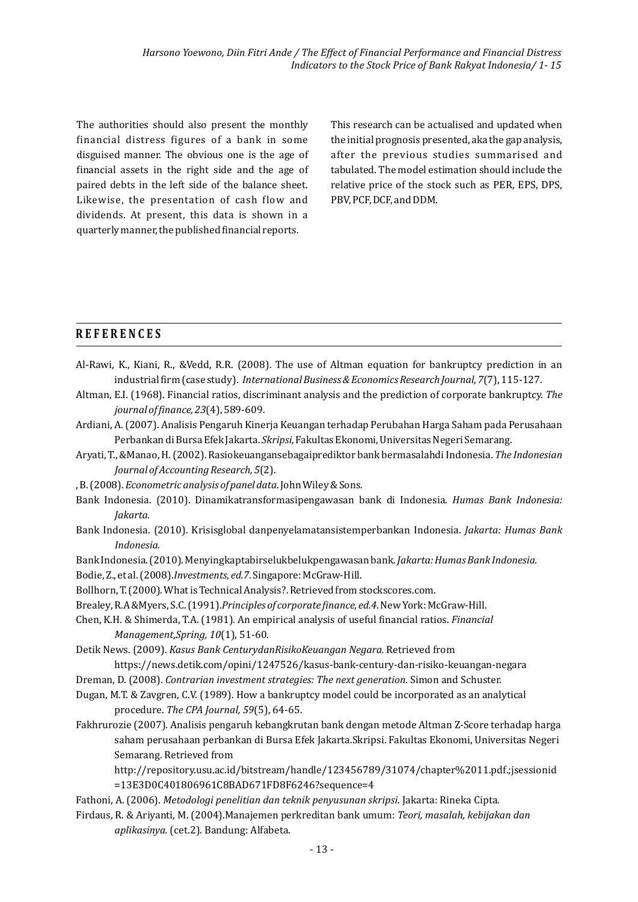The authorities should also present the monthly inancial distress igures of a bank in some disguised manner. The obvious one is the age of financial assets in the right side and the age of paired debts in the left side of the balance sheet. Likewise, the presentation of cash flow and dividends. At present, this data is shown in a quarterly manner, the published financial reports.

This research can be actualised and updated when the initial prognosis presented, aka the gap analysis, after the previous studies summarised and tabulated. The model estimation should include the relative price of the stock such as PER, EPS, DPS, PBV, PCF, DCF, and DDM.

# **REFERENCES**

- Al-Rawi, K., Kiani, R., &Vedd, R.R. (2008). The use of Altman equation for bankruptcy prediction in an industrial firm (case study). *International Business & Economics Research Journal, 7*(7), 115-127.
- Altman, E.I. (1968). Financial ratios, discriminant analysis and the prediction of corporate bankruptcy. The *journal of finance,* 23(4), 589-609.
- Ardiani, A. (2007). Analisis Pengaruh Kinerja Keuangan terhadap Perubahan Harga Saham pada Perusahaan Perbankan di Bursa Efek Jakarta. *Skripsi*, Fakultas Ekonomi, Universitas Negeri Semarang.
- Aryati, T., &Manao, H. (2002). Rasiokeuangansebagaiprediktor bank bermasalahdi Indonesia. The Indonesian *Journal of Accounting Research, 5*(2).
- , B. (2008). *Econometric analysis of panel data*. John Wiley & Sons.
- Bank Indonesia. (2010). Dinamikatransformasipengawasan bank di Indonesia. *Humas Bank Indonesia: Jakarta.*
- Bank Indonesia. (2010). Krisisglobal danpenyelamatansistemperbankan Indonesia. *Jakarta: Humas Bank Indonesia.*
- Bank Indonesia. (2010). Menyingkaptabirselukbelukpengawasan bank. *Jakarta: Humas Bank Indonesia.* Bodie, Z., et al. (2008).*Investments, ed.7*. Singapore: McGraw-Hill.
- Bollhorn, T. (2000). What is Technical Analysis?. Retrieved from stockscores.com.
- Brealey, R.A &Myers, S.C. (1991). *Principles of corporate finance, ed.4*. New York: McGraw-Hill.
- Chen, K.H. & Shimerda, T.A. (1981). An empirical analysis of useful financial ratios. *Financial Management, Spring, 10*(1), 51-60.
- Detik News. (2009). *Kasus Bank CenturydanRisikoKeuangan Negara.* Retrieved from

https://news.detik.com/opini/1247526/kasus-bank-century-dan-risiko-keuangan-negara

- Dreman, D. (2008). *Contrarian investment strategies: The next generation*. Simon and Schuster.
- Dugan, M.T. & Zavgren, C.V. (1989). How a bankruptcy model could be incorporated as an analytical procedure. The CPA Journal, 59(5), 64-65.
- Fakhrurozie (2007). Analisis pengaruh kebangkrutan bank dengan metode Altman Z-Score terhadap harga saham perusahaan perbankan di Bursa Efek Jakarta.Skripsi. Fakultas Ekonomi, Universitas Negeri Semarang. Retrieved from
	- http://repository.usu.ac.id/bitstream/handle/123456789/31074/chapter%2011.pdf.;jsessionid =13E3D0C401806961C8BAD671FD8F6246?sequence=4
- Fathoni, A. (2006). *Metodologi penelitian dan teknik penyusunan skripsi*. Jakarta: Rineka Cipta.
- Firdaus, R. & Ariyanti, M. (2004).Manajemen perkreditan bank umum: *Teori, masalah, kebijakan dan aplikasinya.* (cet.2). Bandung: Alfabeta.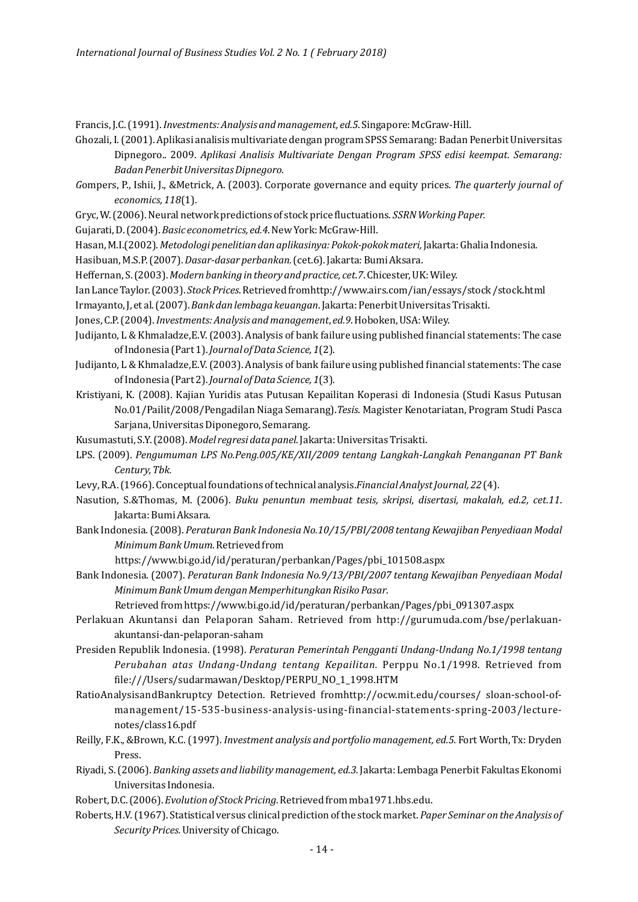Francis, J.C. (1991). *Investments: Analysis and management, ed.5*. Singapore: McGraw-Hill.

- Ghozali, I. (2001). Aplikasi analisis multivariate dengan program SPSS Semarang: Badan Penerbit Universitas Dipnegoro.. 2009. *Aplikasi Analisis Multivariate Dengan Program SPSS edisi keempat. Semarang: Badan Penerbit Universitas Dipnegoro.*
- *Gompers, P., Ishii, J., &Metrick, A. (2003). Corporate governance and equity prices. <i>The quarterly journal of economics, 118*(1).
- Gryc, W. (2006). Neural network predictions of stock price fluctuations. *SSRN Working Paper.*

Gujarati, D. (2004). *Basic econometrics, ed.4*. New York: McGraw-Hill.

- Hasan, M.I.(2002). *Metodologi penelitian dan aplikasinya: Pokok-pokok materi*, Jakarta: Ghalia Indonesia.
- Hasibuan, M.S.P. (2007). *Dasar-dasar perbankan.* (cet.6). Jakarta: Bumi Aksara.
- Heffernan, S. (2003). *Modern banking in theory and practice, cet.7*. Chicester, UK: Wiley.
- Ian Lance Taylor. (2003). *Stock Prices*. Retrieved fromhttp://www.airs.com/ian/essays/stock/stock.html
- Irmayanto, J, et al. (2007). *Bank dan lembaga keuangan*. Jakarta: Penerbit Universitas Trisakti.
- Jones, C.P. (2004). *Investments: Analysis and management, ed.9*. Hoboken, USA: Wiley.
- Judijanto, L & Khmaladze, E.V. (2003). Analysis of bank failure using published financial statements: The case of Indonesia (Part 1). *Journal of Data Science*, 1(2).
- Judijanto, L & Khmaladze, E.V. (2003). Analysis of bank failure using published financial statements: The case of Indonesia (Part 2). *Journal of Data Science*, 1(3).
- Kristiyani, K. (2008). Kajian Yuridis atas Putusan Kepailitan Koperasi di Indonesia (Studi Kasus Putusan No.01/Pailit/2008/Pengadilan Niaga Semarang).*Tesis*. Magister Kenotariatan, Program Studi Pasca Sarjana, Universitas Diponegoro, Semarang.
- Kusumastuti, S.Y. (2008). Model regresi data panel. Jakarta: Universitas Trisakti.
- LPS. (2009). Pengumuman LPS No.Peng.005/KE/XII/2009 tentang Langkah-Langkah Penanganan PT Bank *Century, Tbk.*
- Levy, R.A. (1966). Conceptual foundations of technical analysis.*Financial Analyst Journal, 22* (4).
- Nasution, S.&Thomas, M. (2006). *Buku penuntun membuat tesis, skripsi, disertasi, makalah, ed.2, cet.11*. Jakarta: Bumi Aksara.
- Bank Indonesia. (2008). *Peraturan Bank Indonesia No.10/15/PBI/2008* tentang Kewajiban Penyediaan Modal *Minimum Bank Umum.*Retrieved from

 https://www.bi.go.id/id/peraturan/perbankan/Pages/pbi\_101508.aspx

Bank Indonesia. (2007). *Peraturan Bank Indonesia No.9/13/PBI/2007* tentang Kewajiban Penyediaan Modal *Minimum Bank Umum dengan Memperhitungkan Risiko Pasar*.

Retrieved from https://www.bi.go.id/id/peraturan/perbankan/Pages/pbi\_091307.aspx

- Perlakuan Akuntansi dan Pelaporan Saham. Retrieved from http://gurumuda.com/bse/perlakuanakuntansi-dan-pelaporan-saham
- Presiden Republik Indonesia. (1998). *Peraturan Pemerintah Pengganti Undang-Undang No.1/1998 tentang Perubahan atas Undang-Undang tentang Kepailitan.* Perppu No.1/1998. Retrieved from ile:///Users/sudarmawan/Desktop/PERPU\_NO\_1\_1998.HTM
- RatioAnalysisandBankruptcy Detection. Retrieved fromhttp://ocw.mit.edu/courses/ sloan-school-ofmanagement/15-535-business-analysis-using-inancial-statements-spring-2003/lecturenotes/class16.pdf
- Reilly, F.K., &Brown, K.C. (1997). *Investment analysis and portfolio management, ed.5.* Fort Worth, Tx: Dryden Press.
- Riyadi, S. (2006). *Banking assets and liability management, ed.3.* Jakarta: Lembaga Penerbit Fakultas Ekonomi Universitas Indonesia.
- Robert, D.C. (2006). *Evolution of Stock Pricing.* Retrieved from mba1971.hbs.edu.
- Roberts, H.V. (1967). Statistical versus clinical prediction of the stock market. *Paper Seminar on the Analysis of Security Prices.* University of Chicago.